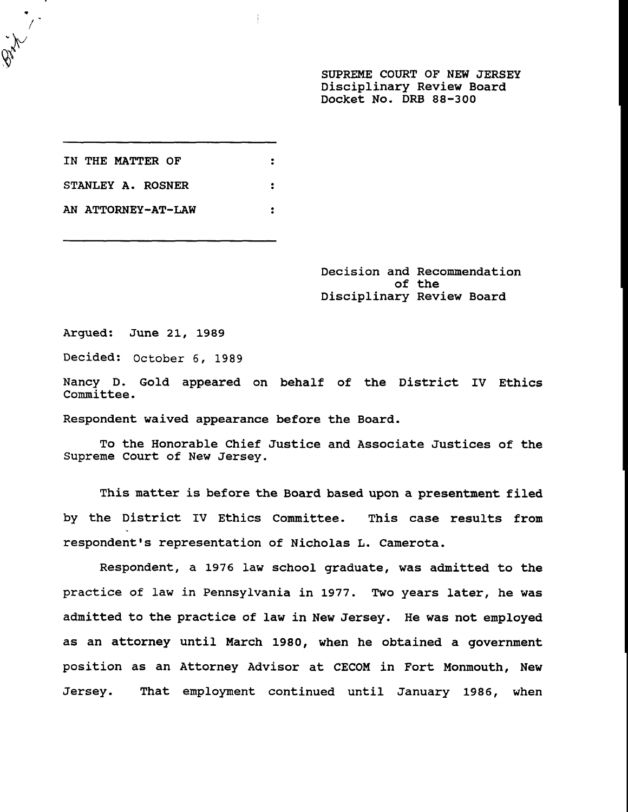**SUPREME COURT OF NEW JERSEY Disciplinary Review Board Docket No. DRB 88-300**

**IN THE MATTER OF**  $\ddot{\cdot}$ **STANLEY A. ROSNER**  $\ddot{\cdot}$ **AN ATTORNEY-AT-LAW**  $\bullet$ 

> **Decision and Recommendation of the Disciplinary Review Board**

Argued: June 21, 1989

Decided: October 6, 1989

Nancy D. Gold appeared on behalf of the District IV Ethics Committee.

Respondent waived appearance before the Board.

To the Honorable Chief Justice and Associate Justices of the Supreme Court of New Jersey.

This matter is before the Board based upon a presentment filed by the District IV Ethics Committee. This case results from respondent's representation of Nicholas L. Camerota.

Respondent, a 1976 law school graduate, was admitted to the practice of law in Pennsylvania in 1977. Two years later, he was admitted to the practice of law in New Jersey. He was not employed as an attorney until March 1980, when he obtained a government position as an Attorney Advisor at CECOM in Fort Monmouth, New Jersey. That employment continued until January 1986, when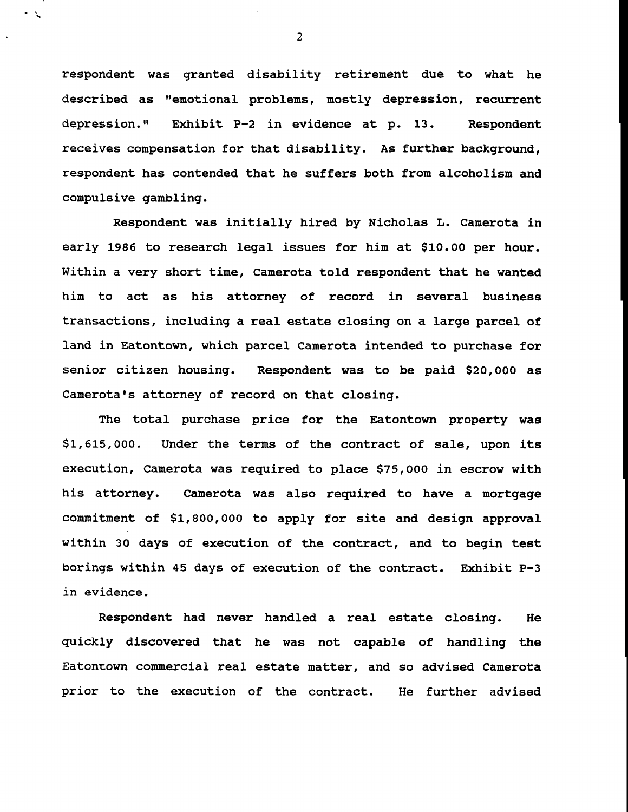respondent was granted disability retirement due to what he described as "emotional problems, mostly depression, recurrent depression." Exhibit P-2 in evidence at p. 13. Respondent receives compensation for that disability. As further background, respondent has contended that he suffers both from alcoholism and compulsive gambling.

Respondent was initially hired by Nicholas L. Camerota in early 1986 to research legal issues for him at \$i0.00 per hour. Within a very short time, Camerota told respondent that he wanted him to act as his attorney of record in several business transactions, including a real estate closing on a large parcel of land in Eatontown, which parcel Camerota intended to purchase for senior citizen housing. Respondent was to be paid \$20,000 as Camerota's attorney of record on that closing.

The total purchase price for the Eatontown property **was** \$1,615,000. Under the terms of the contract of sale, upon its execution, Camerota was required to place \$75,000 in escrow with his attorney. Camerota was also required to have a mortgage commitment of \$1,800,000 to apply for site and design approval within 30 days of execution of the contract, and to begin test borings within 45 days of execution of the contract. Exhibit P-3 in evidence.

Respondent had never handled a real estate closing. He quickly discovered that he was not capable of handling the Eatontown commercial real estate matter, and so advised Camerota prior to the execution of the contract. He further advised

2

 $\cdot$   $\sim$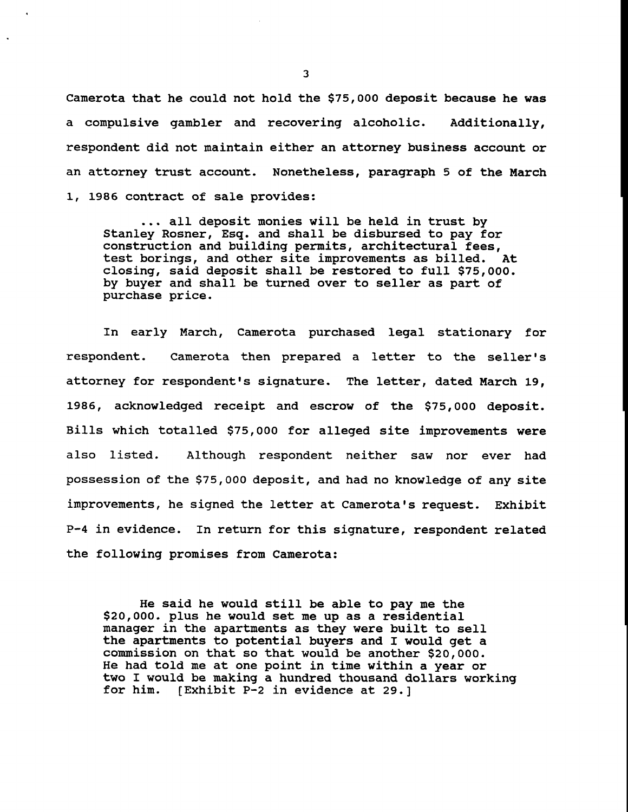**Camerota that he could not hold the \$75,000 deposit because he was a compulsive gambler and recovering alcoholic. Additionally, respondent did not maintain either an attorney business account or an attorney trust account. Nonetheless, paragraph 5 of the March i, 1986 contract of sale provides:**

**... all deposit monies will be held in trust by Stanley Rosner, Esq. and shall be disbursed to pay for construction and building permits, architectural fees, test borings, and other site improvements as billed. At closing, said deposit shall be restored to full \$75,000. by buyer and shall be turned over to seller as part of purchase price.**

In early March, Camerota purchased legal stationary for respondent. Camerota then prepared a letter to the seller's attorney for respondent's signature. The letter, dated March 19, **1986,** acknowledged receipt and escrow of the \$75,000 deposit. Bills which totalled \$75,000 for alleged site improvements were also listed. Although respondent neither saw nor ever had possession of the \$75,000 deposit, and had no knowledge of any site improvements, he signed the letter at Camerota's request. Exhibit P-4 in evidence. In return for this signature, respondent related the following promises from Camerota:

He said he would still be able to pay me the \$20,000. plus he would set me up as a residential manager in the apartments as they were built to sell the apartments to potential buyers and I would get a commission on that so that would be another \$20,000. He had told me at one point in time within a year or two I would be making a hundred thousand dollars working for him. [Exhibit P-2 in evidence at 29.]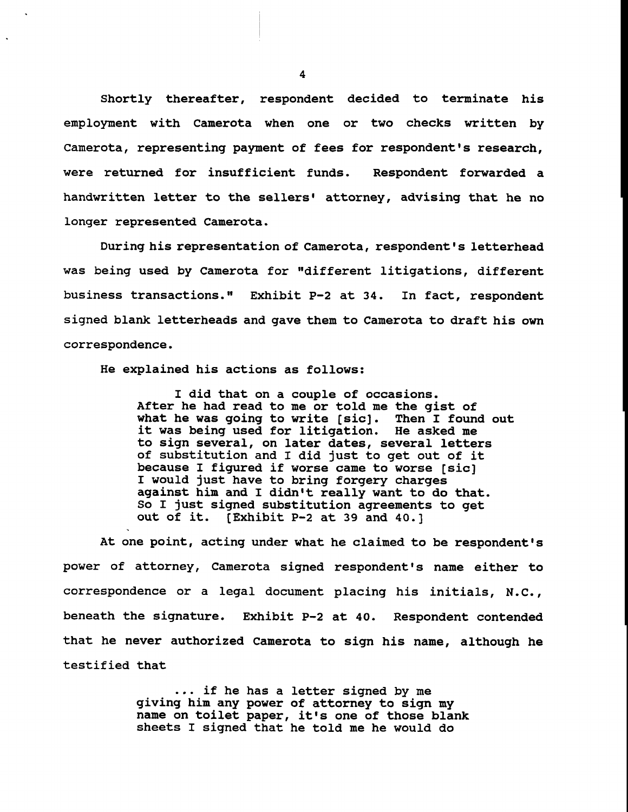**Shortly thereafter, respondent decided to terminate his employment with Camerota when one or two checks written by Camerota, representing payment of fees for respondent's research, were returned for insufficient funds. Respondent forwarded a** handwritten letter to the sellers' attorney, advising that he no longer represented Camerota.

During his representation of Camerota, respondent's letterhead was being used by Camerota for "different litigations, different business transactions." Exhibit P-2 at 34. In fact, respondent signed blank letterheads and gave them to Camerota to draft his own correspondence.

He explained his actions as follows:

I did that on a couple of occasions. After he had read to me or told me the gist of what he was going to write [sic]. Then I found out it was being used for litigation. He asked me to sign several, on later dates, several letters of substitution and I did just to get out of it because I figured if worse came to worse [sic] I would just have to bring forgery charges against him and I didn't really want to do that. So I just signed substitution agreements to get out of it. [Exhibit P-2 at 39 and 40.]

At one point, acting under what he claimed to be respondent's power of attorney, Camerota signed respondent's name either to correspondence or a legal document placing his initials, N.C., beneath the signature. Exhibit P-2 at 40. Respondent contended that he never authorized Camerota to sign his name, although he testified that

> ... if he has a letter signed by me giving him any power of attorney to sign my name on toilet paper, it's one of those blank sheets I signed that he told me he would do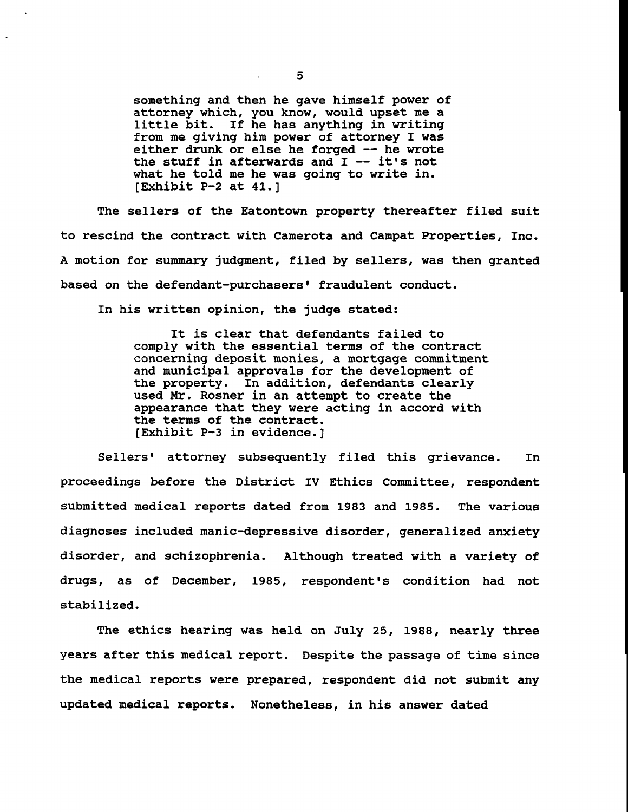something and then he gave himself power of attorney which, you know, would upset me a little bit. If he has anything in writing from me giving him power of attorney I was either drunk or else he forged -- he wrote the stuff in afterwards and I -- it's not what he told me he was going to write in. [Exhibit P-2 at 41.]

The sellers of the Eatontown property thereafter filed suit to rescind the contract with Camerota and Campat Properties, Inc. A motion for summary judgment, filed by sellers, was then granted based on the defendant-purchasers' fraudulent conduct.

In his written opinion, the judge stated:

It is clear that defendants failed to comply with the essential terms of the contract concerning deposit monies, a mortgage commitment and municipal approvals for the development of the property. In addition, defendants clearly used Mr. Rosner in an attempt to create the appearance that they were acting in accord with the terms of the contract. [Exhibit P-3 in evidence.]

Sellers' attorney subsequently filed this grievance. In proceedings before the District IV Ethics Committee, respondent submitted medical reports dated from 1983 and 1985. The various diagnoses included manic-depressive disorder, generalized anxiety disorder, and schizophrenia. Although treated with a variety of drugs, as of December, 1985, respondent's condition had not stabilized.

The ethics hearing was held on July 25, 1988, nearly three years after this medical report. Despite the passage of time since the medical reports were prepared, respondent did not submit any updated medical reports. Nonetheless, in his answer dated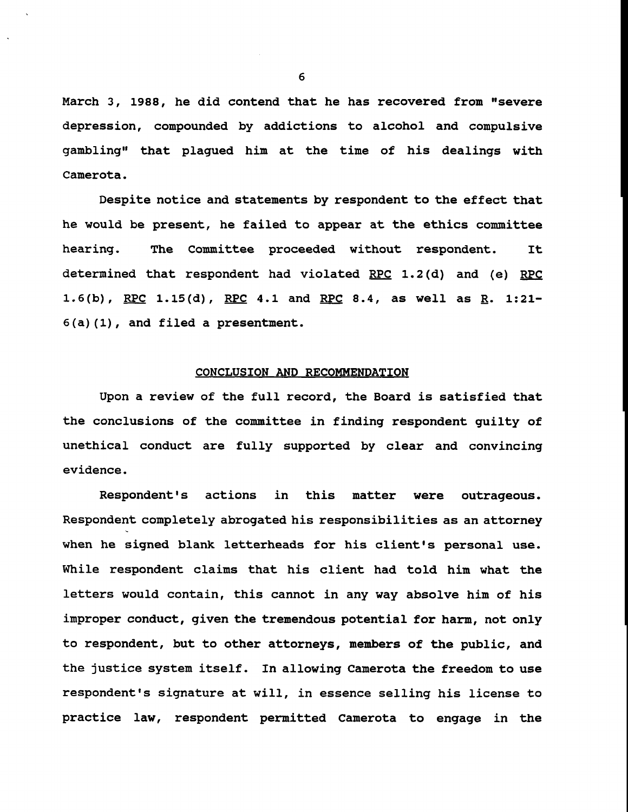March 3, 1988, he did contend that he has recovered from "severe depression, compounded by addictions to alcohol and compulsive gambling" that plagued him at the time of his dealings with Camerota.

Despite notice and statements by respondent to the effect that he would be present, he failed to appear at the ethics committee hearing. The Committee proceeded without respondent. It determined that respondent had violated RPC 1.2(d) and (e) RPC 1.6(b), RPC 1.15(d), RPC 4.1 and RPC 8.4, as well as  $R. 1:21-$ 6(a)(1), and filed a presentment.

## CONCLUSION AND RECOMMENDATION

Upon a review of the full record, the Board is satisfied that the conclusions of the committee in finding respondent guilty of unethical conduct are fully supported by clear and convincing evidence.

Respondent's actions in this matter were outrageous. Respondent completely abrogated his responsibilities as an attorney when he signed blank letterheads for his client's personal use. While respondent claims that his client had told him what the letters would contain, this cannot in any way absolve him of his improper conduct, given the tremendous potential for harm, not only to respondent, but to other attorneys, members of the public, and the justice system itself. In allowing Camerota the freedom to use respondent's signature at will, in essence selling his license to practice law, respondent permitted Camerota to engage in the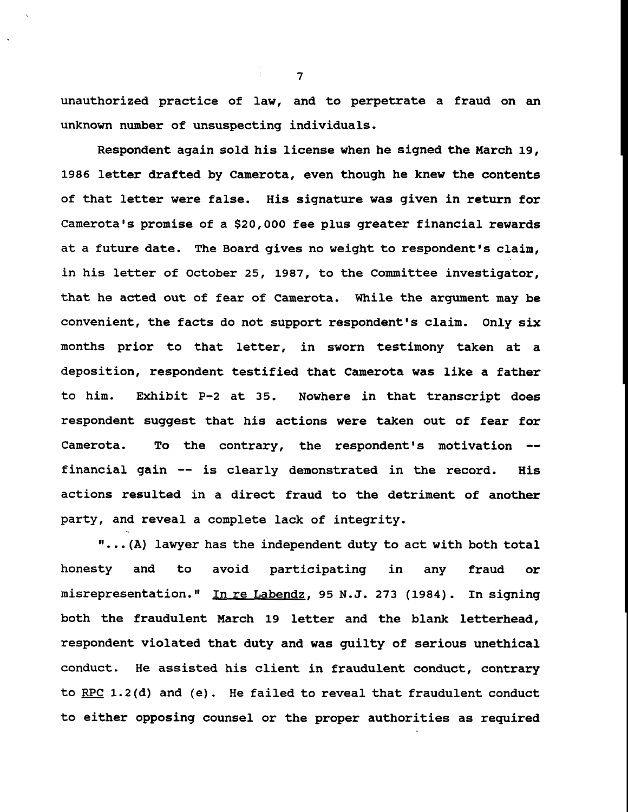unauthorized practice of law, and to perpetrate a fraud on an unknown number of unsuspecting individuals.

Respondent again sold his license when he signed the March 19, 1986 letter drafted by Camerota, even though he knew the contents of that letter were false. His signature was given in return for Camerota's promise of a \$20,000 fee plus greater financial rewards at a future date. The Board gives no weight to respondent's claim, in his letter of October 25, 1987, to the Committee investigator, that he acted out of fear of Camerota. While the argument may be convenient, the facts do not support respondent's claim. Only six months prior to that letter, in sworn testimony taken at a deposition, respondent testified that Camerota was like a father to him. Exhibit P-2 at 35. Nowhere in that transcript does respondent suggest that his actions were taken out of fear for Camerota. To the contrary, the respondent's motivation - financial gain -- is clearly demonstrated in the record. His actions resulted in a direct fraud to the detriment of another party, and reveal a complete lack of integrity.

"...(A) lawyer has the independent duty to act with both total honesty and to avoid participating in any fraud or misrepresentation." In re Labendz, 95 N.J. 273 (1984). In signing both the fraudulent March 19 letter and the blank letterhead, respondent violated that duty and was guilty of serious unethical conduct. He assisted his client in fraudulent conduct, contrary to RPC 1.2(d) and (e). He failed to reveal that fraudulent conduct to either opposing counsel or the proper authorities as required

: 7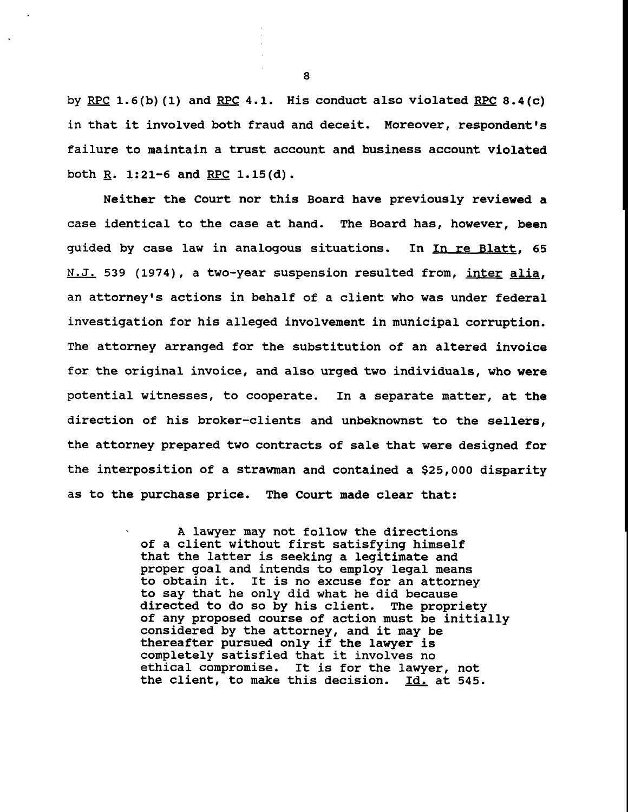by RPC 1.6(b)(1) and RPC 4.1. His conduct also violated RPC 8.4(c) in that it involved both fraud and deceit. Moreover, respondent's failure to maintain a trust account and business account violated both  $R. 1:21-6$  and RPC  $1.15(d)$ .

Neither the Court nor this Board have previously reviewed a case identical to the case at hand. The Board has, however, been guided by case law in analogous situations. In In re Blatt, 65 N.J. 539 (1974), a two-year suspension resulted from, inter alia, an attorney's actions in behalf of a client who was under federal investigation for his alleged involvement in municipal corruption. The attorney arranged for the substitution of an altered invoice for the original invoice, and also urged two individuals, who were potential witnesses, to cooperate. In a separate matter, at the direction of his broker-clients and unbeknownst to the sellers, the attorney prepared two contracts of sale that were designed for the interposition of a strawman and contained a \$25,000 disparity as to the purchase price. The Court made clear that:

> A lawyer may not follow the directions of a client without first satisfying himself that the latter is seeking a legitimate and proper goal and intends to employ legal means<br>to obtain it. It is no excuse for an attorney It is no excuse for an attorney to say that he only did what he did because directed to do so by his client. The propriety of any proposed course of action must be initially considered by the attorney, and it may be thereafter pursued only if the lawyer is completely satisfied that it involves no ethical compromise. It is for the lawyer, not the client, to make this decision. Id. at 545.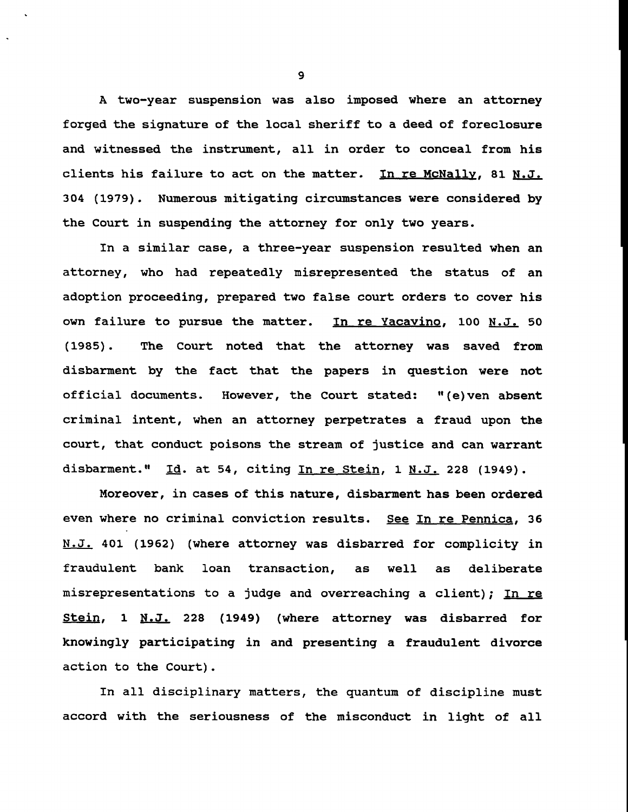A two-year suspension was also imposed where an attorney forged the signature of the local sheriff to a deed of foreclosure and witnessed the instrument, all in order to conceal from his clients his failure to act on the matter. In re McNally, 81 N.J. 304 (1979). Numerous mitigating circumstances were considered by the Court in suspending the attorney for only two years.

In a similar case, a three-year suspension resulted when an attorney, who had repeatedly misrepresented the status of an adoption proceeding, prepared two false court orders to cover his own failure to pursue the matter. In re Yacavino, 100 N.J. 50 (1985). The Court noted that the attorney was saved from disbarment by the fact that the papers in question were not official documents. However, the Court stated: "(e)ven absent criminal intent, when an attorney perpetrates a fraud upon the court, that conduct poisons the stream of justice and can warrant disbarment."  $Id.$  at 54, citing In re Stein, 1 N.J. 228 (1949).

Moreover, in cases of this nature, disbarment has been ordered even where no criminal conviction results. See In re Pennica, 36 N.J.. 401 (1962) (where attorney was disbarred for complicity in fraudulent bank loan transaction, as well as deliberate misrepresentations to a judge and overreaching a client); In re Stein, 1 N.J. 228 (1949) (where attorney was disbarred for knowingly participating in and presenting a fraudulent divorce action to the Court).

In a11 disciplinary matters, the quantum of discipline must accord with the seriousness of the misconduct in light of all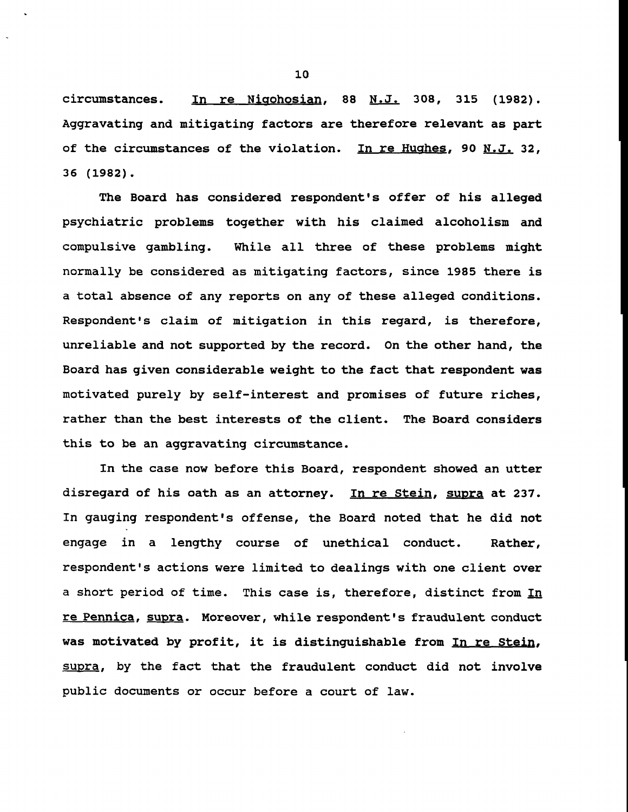$circumstances.$  In re Nigohosian, 88 N.J. 308, 315 (1982). Aggravating and mitigating factors are therefore relevant as part of the circumstances of the violation. In re Hughes, 90 N.J. 32, **36 (1982).**

The Board has considered respondent's offer of his alleged psychiatric problems together with his claimed alcoholism and compulsive gambling. While all three of these problems might this to be an aggravating circumstance. normally be considered as mitigating factors, since 1985 there is a total absence of any reports on any of these alleged conditions. Respondent's claim of mitigation in this regard, is therefore, unreliable and not supported by the record. On the other hand, the Board has given considerable weight to the fact that respondent was motivated purely by self-interest and promises of future riches, rather than the best interests of the client. The Board considers

In the case now before this Board, respondent showed an utter disregard of his oath as an attorney. In re Stein, supra at 237. In gauging respondent's offense, the Board noted that he did not engage in a lengthy course of unethical conduct. Rather, respondent's actions were limited to dealings with one client over a short period of time. This case is, therefore, distinct from In re Pennica, supra. Moreover, while respondent's fraudulent conduct was motivated by profit, it is distinguishable from In re Stein, supra, by the fact that the fraudulent conduct did not involve public documents or occur before a court of law.

i0